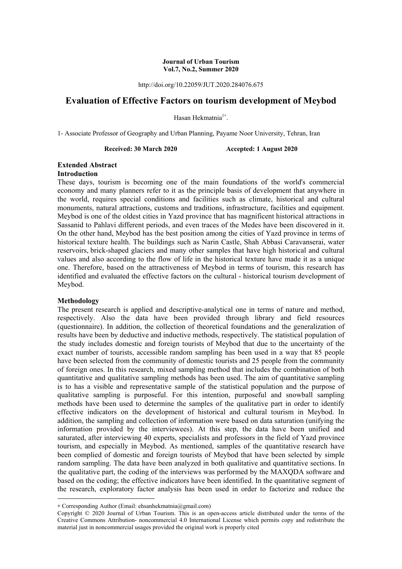#### **Journal of Urban Tourism Vol.7, No.2, Summer 2020**

http://doi.org/10.22059/JUT.2020.284076.675

# **Evaluation of Effective Factors on tourism development of Meybod**

Hasan Hekmatnia<sup>1</sup>\*.

1- Associate Professor of Geography and Urban Planning, Payame Noor University, Tehran, Iran

**Received: 30 March 2020 Accepted: 1 August 2020** 

### **Extended Abstract Introduction**

These days, tourism is becoming one of the main foundations of the world's commercial economy and many planners refer to it as the principle basis of development that anywhere in the world, requires special conditions and facilities such as climate, historical and cultural monuments, natural attractions, customs and traditions, infrastructure, facilities and equipment. Meybod is one of the oldest cities in Yazd province that has magnificent historical attractions in Sassanid to Pahlavi different periods, and even traces of the Medes have been discovered in it. On the other hand, Meybod has the best position among the cities of Yazd province in terms of historical texture health. The buildings such as Narin Castle, Shah Abbasi Caravanserai, water reservoirs, brick-shaped glaciers and many other samples that have high historical and cultural values and also according to the flow of life in the historical texture have made it as a unique one. Therefore, based on the attractiveness of Meybod in terms of tourism, this research has identified and evaluated the effective factors on the cultural - historical tourism development of Meybod.

## **Methodology**

**.** 

The present research is applied and descriptive-analytical one in terms of nature and method, respectively. Also the data have been provided through library and field resources (questionnaire). In addition, the collection of theoretical foundations and the generalization of results have been by deductive and inductive methods, respectively. The statistical population of the study includes domestic and foreign tourists of Meybod that due to the uncertainty of the exact number of tourists, accessible random sampling has been used in a way that 85 people have been selected from the community of domestic tourists and 25 people from the community of foreign ones. In this research, mixed sampling method that includes the combination of both quantitative and qualitative sampling methods has been used. The aim of quantitative sampling is to has a visible and representative sample of the statistical population and the purpose of qualitative sampling is purposeful. For this intention, purposeful and snowball sampling methods have been used to determine the samples of the qualitative part in order to identify effective indicators on the development of historical and cultural tourism in Meybod. In addition, the sampling and collection of information were based on data saturation (unifying the information provided by the interviewees). At this step, the data have been unified and saturated, after interviewing 40 experts, specialists and professors in the field of Yazd province tourism, and especially in Meybod. As mentioned, samples of the quantitative research have been complied of domestic and foreign tourists of Meybod that have been selected by simple random sampling. The data have been analyzed in both qualitative and quantitative sections. In the qualitative part, the coding of the interviews was performed by the MAXQDA software and based on the coding; the effective indicators have been identified. In the quantitative segment of the research, exploratory factor analysis has been used in order to factorize and reduce the

<sup>∗</sup> Corresponding Author (Email: ehsanhekmatnia@gmail.com)

Copyright © 2020 Journal of Urban Tourism. This is an open-access article distributed under the terms of the Creative Commons Attribution- noncommercial 4.0 International License which permits copy and redistribute the material just in noncommercial usages provided the original work is properly cited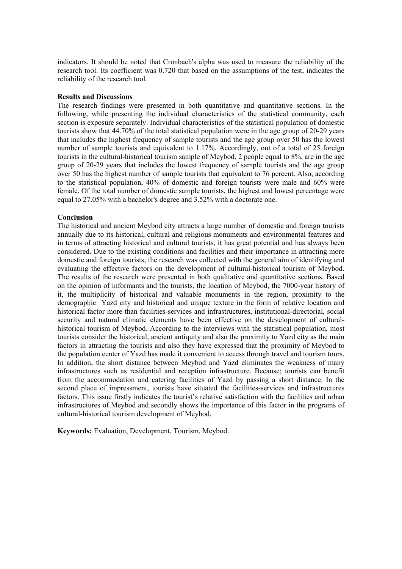indicators. It should be noted that Cronbach's alpha was used to measure the reliability of the research tool. Its coefficient was 0.720 that based on the assumptions of the test, indicates the reliability of the research tool.

#### **Results and Discussions**

The research findings were presented in both quantitative and quantitative sections. In the following, while presenting the individual characteristics of the statistical community, each section is exposure separately. Individual characteristics of the statistical population of domestic tourists show that 44.70% of the total statistical population were in the age group of 20-29 years that includes the highest frequency of sample tourists and the age group over 50 has the lowest number of sample tourists and equivalent to 1.17%. Accordingly, out of a total of 25 foreign tourists in the cultural-historical tourism sample of Meybod, 2 people equal to 8%, are in the age group of 20-29 years that includes the lowest frequency of sample tourists and the age group over 50 has the highest number of sample tourists that equivalent to 76 percent. Also, according to the statistical population, 40% of domestic and foreign tourists were male and 60% were female. Of the total number of domestic sample tourists, the highest and lowest percentage were equal to 27.05% with a bachelor's degree and 3.52% with a doctorate one.

### **Conclusion**

The historical and ancient Meybod city attracts a large number of domestic and foreign tourists annually due to its historical, cultural and religious monuments and environmental features and in terms of attracting historical and cultural tourists, it has great potential and has always been considered. Due to the existing conditions and facilities and their importance in attracting more domestic and foreign tourists; the research was collected with the general aim of identifying and evaluating the effective factors on the development of cultural-historical tourism of Meybod. The results of the research were presented in both qualitative and quantitative sections. Based on the opinion of informants and the tourists, the location of Meybod, the 7000-year history of it, the multiplicity of historical and valuable monuments in the region, proximity to the demographic Yazd city and historical and unique texture in the form of relative location and historical factor more than facilities-services and infrastructures, institutional-directorial, social security and natural climatic elements have been effective on the development of culturalhistorical tourism of Meybod. According to the interviews with the statistical population, most tourists consider the historical, ancient antiquity and also the proximity to Yazd city as the main factors in attracting the tourists and also they have expressed that the proximity of Meybod to the population center of Yazd has made it convenient to access through travel and tourism tours. In addition, the short distance between Meybod and Yazd eliminates the weakness of many infrastructures such as residential and reception infrastructure. Because; tourists can benefit from the accommodation and catering facilities of Yazd by passing a short distance. In the second place of impressment, tourists have situated the facilities-services and infrastructures factors. This issue firstly indicates the tourist's relative satisfaction with the facilities and urban infrastructures of Meybod and secondly shows the importance of this factor in the programs of cultural-historical tourism development of Meybod.

**Keywords:** Evaluation, Development, Tourism, Meybod.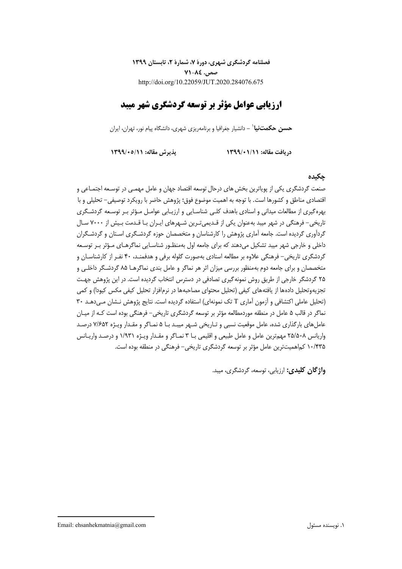**فصلنامه گردشگري شهري، دورة ،7 شمارة ،2 تابستان 1399 صص. 71-84** http://doi.org/10.22059/JUT.2020.284076.675

# **ارزيابي عوامل مؤثر بر توسعه گردشگري شهر ميبد**

**-** دانشيار جغرافيا و برنامهريزي شهري، دانشگاه پيام نور، تهران، ايران<sup>1</sup> **حسن حكمتنيا**

**دريافت مقاله: 1399/01/11 پذيرش مقاله: 1399/05/11** 

# **چكيده**

صنعت گردشگري يكي از پوياترين بخشهاي درحال توسعه اقتصاد جهان و عامل مهمـي در توسـعه اجتمـاعي و اقتصادي مناطق و كشورها است. با توجه به اهميت موضوع فوق؛ پژوهش حاضر با رويكرد توصيفي- تحليلي و با بهرهگيري از مطالعات ميداني و اسنادي باهدف كلـي شناسـايي و ارزيـابي عوامـل مـؤثر بـر توسـعه گردشـگري تاريخي- فرهنگي در شهر ميبد بهعنوان يكي از قـديميتـرين شـهرهاي ايـران بـا قـدمت بـيش از 7000 سـال گردآوري گرديده است. جامعه آماري پژوهش را كارشناسان و متخصصان حوزه گردشـگري اسـتان و گردشـگران داخلي و خارجي شهر ميبد تشكيل ميدهند كه براي جامعه اول بهمنظـور شناسـايي نماگرهـاي مـؤثر بـر توسـعه گردشگري تاريخي- فرهنگي علاوه بر مطالعه اسنادي بهصورت گلوله برفي و هدفمنـد، 40 نفـر از كارشناسـان و متخصصان و براي جامعه دوم بهمنظور بررسي ميزان اثر هر نماگر و عامل بندي نماگرهـا 85 گردشـگر داخلـي و 25 گردشگر خارجي از طريق روش نمونهگيري تصادفي در دسترس انتخاب گرديده است. در اين پژوهش جهـت تجزيهوتحليل دادهها از يافتههاي كيفي (تحليل محتواي مصاحبهها در نرمافزار تحليل كيفي مكس كيودا) و كمي (تحليل عاملي اكتشافي و آزمون آماري T تك نمونهاي) استفاده گرديده است. نتايج پژوهش نـشان مـيدهـد 30 نماگر در قالب 5 عامل در منطقه موردمطالعه مؤثر بر توسعه گردشگري تاريخي- فرهنگي بوده است كـه از ميـان عاملهاي بارگذاري شده، عامل موقعيت نسبي و تـاريخي شـهر ميبـد بـا 5 نمـاگر و مقـدار ويـژه 7/652 درصـد واريانس 25/508 مهمترين عامل و عامل طبيعي و اقليمي بـا 3 نمـاگر و مقـدار ويـژه 1/931 و درصـد واريـانس 10/435 كماهميتترين عامل مؤثر بر توسعه گردشگري تاريخي- فرهنگي در منطقه بوده است.

**واژگان كليدي:** ارزيابي، توسعه، گردشگري، ميبد.

1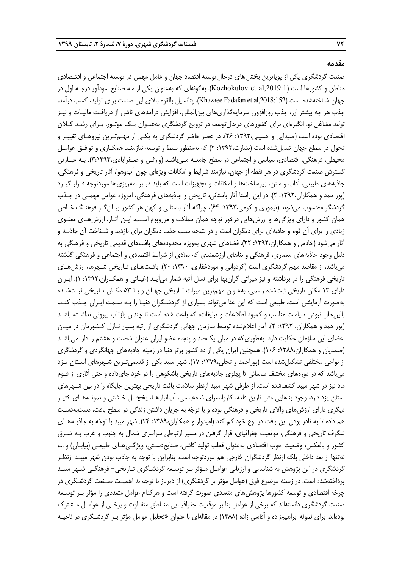#### **مقدمه**

صنعت گردشگري يكي از پوياترين بخش هاي درحال توسعه اقتصاد جهان و عامل مهمي در توسعه اجتماعي و اقتـصادي مناطق و كشورها است (,2019:1، Kozhokulov et al). بهگونهاي كه بهعنوان يكي از سه صنايع سودآور درجـه اول در جهان شناختهشده است (Khazaee Fadafan et al,2018:152). پتانسيل بالقوه بالاي اين صنعت براي توليد، كسب درآمد، جذب هر چه بيشتر ارز، جذب روزافزون سرمايهگذاريهاي بينالمللي، افزايش درآمدهاي ناشي از دريافـت ماليـات و نيـز توليد مشاغل نو، انگيزهاي براي كشورهاي درحالتوسعه در ترويج گردشگري بهعنـوان يـك موتـور، بـراي رشـد كـلان اقتصادي بوده است (صيدايي و حسيني:1393، 26). در عصر حاضر گردشگري به يكـي از مهـمتـرين نيروهـاي تغييـر و تحول در سطح جهان تبديلشده است (بشارت:1392، 2) كه بهمنظور بسط و توسعه نيازمنـد همكـاري و توافـق عوامـل محيطي، فرهنگي، اقتصادي، سياسي و اجتماعي در سطح جامعـه مـيباشـد (وارثـي و صـفرآبادي3:1393،). بـه عبـارتي گسترش صنعت گردشگري در هر نقطه از جهان، نيازمند شرايط و امكانات ويژهاي چون آبوهوا، آثار تاريخي و فرهنگي، جاذبههاي طبيعي، آداب و سنن، زيرساختها و امكانات و تجهيزات است كه بايد در برنامهريزيها موردتوجه قـرار گيـرد (پوراحمد و همكاران:1392، 2). در اين راستا آثار باستاني، تاريخي و جاذبههاي فرهنگي، امروزه عوامل مهمـي در جـذب گردشگر محسوب ميشوند (تيموري و كرمي:1393، 64)، چراكه آثار باستاني و كهن هر كشور بيـانگـر فرهنـگ خـاص همان كشور و داراي ويژگيها و ارزشهايي درخور توجه همان مملكت و مرزوبوم اسـت. ايـن آثـار، ارزشهـاي معنـوي زيادي را براي آن قوم و جاذبهاي براي ديگران است و در نتيجه سبب جذب ديگران براي بازديد و شـناخت آن جاذبـه و آثار ميشود (خادمي و همكاران:1392، 22). فضاهاي شهري بهويژه محدودههاي بافتهاي قديمي تاريخي و فرهنگي به دليل وجود جاذبههاي معماري، فرهنگي و بناهاي ارزشمندي كه نمادي از شرايط اقتصادي و اجتماعي و فرهنگي گذشته ميباشد، از مقاصد مهم گردشگري است (كردواني و موردغفاري، :1390 20). بافـتهـاي تـاريخي شـهرها، ارزشهـاي تاريخي فرهنگي را در برداشته و نيز ميراثي گرانبها براي نسل آتيه شمار ميآيـد (غيـائي و همكـاران:1392، 1). ايـران داراي 13 مكان تاريخي ثبتشده رسمي، بهعنوان مهمترين ميراث تـاريخي جهـان و بـا 53 مكـان تـاريخي ثبـتشـده بهصورت آزمايشي است. طبيعي است كه اين غنا ميتواند بسياري از گردشـگران دنيـا را بـه سـمت ايـران جـذب كنـد. بااينحال نبودن سياست مناسب و كمبود اطلاعات و تبليغات، كه باعث شده است تا چندان بازتاب بيروني نداشـته باشـد (پوراحمد و همكاران، :1392 2). آمار اعلامشده توسط سازمان جهاني گردشگري از رتبه بسيار نـازل كـشورمان در ميـان اعضاي اين سازمان حكايت دارد. بهطوريكه در ميان يكصد و پنجاه عضو ايران عنوان شصت و هشتم را دارا ميباشـد (صمديان و همكاران:1388، 106). همچنين ايران يكي از ده كشور برتر دنيا در زمينه جاذبههاي جهانگردي و گردشگري از نواحي مختلفي تشكيلشده است (پوراحمد و تجلي:1379، 17). شهر ميبد يكي از قديميتـرين شـهرهاي اسـتان يـزد ميباشد كه در دورههاي مختلف ساساني تا پهلوي جاذبههاي تاريخي باشكوهي را در خود جايداده و حتي آثاري از قـوم ماد نيز در شهر ميبد كشفشده است. از طرفي شهر ميبد ازنظر سلامت بافت تاريخي بهترين جايگاه را در بين شـهرهاي استان يزد دارد. وجود بناهايي مثل نارين قلعه، كاروانسراي شاهعباسي، آبانبارهـا، يخچـال خـشتي و نمونـههـاي كثيـر ديگري داراي ارزشهاي والاي تاريخي و فرهنگي بوده و با توجه به جريان داشتن زندگي در سطح بافت، دستبهدسـت هم داده تا به نادر بودن اين بافت در نوع خود كم كند (اميدوار و همكاران:1389، 24). شهر ميبد با توجه به جاذبـههـاي شگرف تاريخي و فرهنگي، موقعيت جغرافياي، قرار گرفتن در مسير ارتباطي سراسري شمال به جنوب و غرب بـه شـرق كشور و بالعكس، وضعيت خوب اقتصادي بهعنوان قطب توليد كاشي، صنايعدسـتي، ويژگـيهـاي طبيعـي (بيابـان) و ،... نهتنها از بعد داخلي بلكه ازنظر گردشگران خارجي هم موردتوجه است. بنابراين با توجه به جاذب بودن شهر ميبـد ازنظـر گردشگري در اين پژوهش به شناسايي و ارزيابي عوامـل مـؤثر بـر توسـعه گردشـگري تـاريخي- فرهنگـي شـهر ميبـد پرداختهشده است. در زمينه موضوع فوق (عوامل مؤثر بر گردشگري) از ديرباز با توجه به اهميـت صـنعت گردشـگري در چرخه اقتصادي و توسعه كشورها پژوهشهاي متعددي صورت گرفته است و هركدام عوامل متعددي را مؤثر بـر توسـعه صنعت گردشگري دانستهاند كه برخي از عوامل بنا بر موقعيت جغرافيـايي منـاطق متفـاوت و برخـي از عوامـل مـشترك بودهاند. براي نمونه ابراهيمزاده و آقاسي زاده (1388) در مقالهاي با عنوان «تحليل عوامل مؤثر بـر گردشـگري در ناحيـه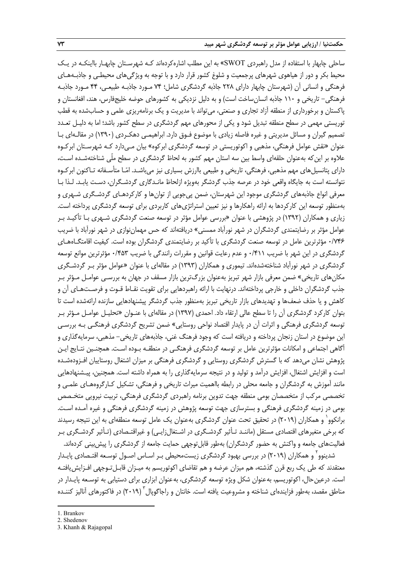ساحلي چابهار با استفاده از مدل راهبردي SWOT «به اين مطلب اشارهكردهاند كـه شهرسـتان چابهـار بااينكـه در يـك محيط بكر و دور از هياهوي شهرهاي پرجمعيت و شلوغ كشور قرار دارد و با توجه به ويژگيهاي محيطـي و جاذبـههـاي فرهنگي و انساني آن (شهرستان چابهار داراي 228 جاذبه گردشگري شامل؛ 74 مـورد جاذبـه طبيعـي، 44 مـورد جاذبـه فرهنگي- تاريخي و 110 جاذبه انسانساخت است) و به دليل نزديكي به كشورهاي حوضه خليجفارس، هند، افغانستان و پاكستان و برخورداري از منطقه آزاد تجاري و صنعتي، ميتواند با مديريت و يك برنامهريزي علمي و حسابشده به قطب توريستي مهمي در سطح منطقه تبديل شود و يكي از محورهاي مهم گردشگري در سطح كشور باشد؛ اما به دليـل تعـدد تصميم گيران و مسائل مديريتي و غيره فاصله زيادي با موضوع فـوق دارد. ابراهيمـي دهكـردي (1390) در مقالـهاي بـا عنوان «نقش عوامل فرهنگي، مذهبي و اكوتوريستي در توسعه گردشگري ابركوه» بيان مـيدارد كـه شهرسـتان ابركـوه علاوه بر اينكه بهعنوان حلقهاي واسط بين سه استان مهم كشور به لحاظ گردشگري در سطح ملّي شناختهشـده اسـت، داراي پتانسيلهاي مهم مذهبي، فرهنگي، تاريخي و طبيعي باارزش بسياري نيز ميباشـد. امـا متأسـفانه تـاكنون ابركـوه نتوانسته است به جايگاه واقعي خود در عرصه جذب گردشگر بهويژه ازلحاظ مانـدگاري گردشـگران، دسـت يابـد. لـذا بـا معرفي انواع جاذبههاي گردشگري موجود اين شهرستان، ضمن پيجويي از توانها و كاركردهـاي گردشـگري شـهري و بهمنظور توسعه اين كاركردها به ارائه راهكارها و نيز تعيين استراتژيهاي كاربردي براي توسعه گردشگري پرداخته است. زياري و همكاران (1392) در پژوهشي با عنوان «بررسي عوامل مؤثر در توسعه صنعت گردشگري شـهري بـا تأكيـد بـر عوامل مؤثر بر رضايتمندي گردشگران در شهر نورآباد ممسني» دريافتهاند كه حس مهماننوازي در شهر نورآباد با ضريب 0/746 مؤثرترين عامل در توسعه صنعت گردشگري با تأكيد بر رضايتمندي گردشگران بوده است . كيفيت اقامتگـاههـاي گردشگري در اين شهر با ضريب 0/411 و عدم رعايت قوانين و مقررات رانندگي با ضريب 0/453 مؤثرترين موانع توسعه گردشگري در شهر نورآباد شناختهشدهاند. تيموري و همكاران (1393) در مقالهاي با عنوان «عوامل مؤثر بـر گردشـگري مكانهاي تاريخي» ضمن معرفي بازار شهر تبريز بهعنوان بزرگترين بازار مسقف در جهان به بررسـي عوامـل مـؤثر بـر جذب گردشگران داخلي و خارجي پرداختهاند. درنهايت با ارائه راهبردهايي براي تقويت نقـاط قـوت و فرصـتهـاي آن و كاهش و يا حذف ضعفها و تهديدهاي بازار تاريخي تبريز بهمنظور جذب گردشگر پيشنهادهايي سازنده ارائهشده است تا بتوان كاركرد گردشگري آن را تا سطح عالي ارتقاء داد. احمدي (1397) در مقالهاي با عنـوان «تحليـل عوامـل مـؤثر بـر توسعه گردشگري فرهنگي و اثرات آن در پايدار اقتصاد نواحي روستايي » ضمن تشريح گردشگري فرهنگـي بـه بررسـي اين موضوع در استان زنجان پرداخته و دريافته است كه وجود فرهنگ غني، جاذبههاي تاريخي- مذهبي، سرمايهگذاري و آگاهي اجتماعي و امكانات مؤثرترين عامل بر توسعه گردشگري فرهنگـي در منطقـه بـوده اسـت . همچنـين نتـايج ايـن پژوهش نشان ميدهد كه با گسترش گردشگري روستايي و گردشگري فرهنگي بر ميزان اشتغال روستاييان افـزودهشـده است و افزايش اشتغال، افزايش درآمد و توليد و در نتيجه سرمايهگذاري را به همراه داشته است. همچنين، پيـشنهادهايي مانند آموزش به گردشگران و جامعه محلي در رابطه بااهميت ميراث تاريخي و فرهنگي، تشكيل كـارگروههـاي علمـي و تخصصي مركب از متخصصان بومي منطقه جهت تدوين برنامه راهبردي گردشگري فرهنگي، تربيت نيرويي متخـصص بومي در زمينه گردشگري فرهنگي و بسترسازي جهت توسعه پژوهش در زمينه گردشگري فرهنگي و غيره آمـده اسـت. برانكوو` و همكاران (٢٠١٩) در تحقيق تحت عنوان گردشگري بهعنوان يک عامل توسعه منطقهاي به اين نتيجه رسيدند كه برخي متغيرهاي اقتصادي مستقل (ماننـد تـأثير گردشـگري در اشـتغالزايـي) و غيراقتـصادي (تـأثير گردشـگري بـر فعاليتهاي جامعه و واكنش به حضور گردشگران) بهطور قابلتوجهي حمايت جامعه از گردشگري را پيشبيني كردهاند.

شدينوو ً و همكاران (٢٠١٩) در بررسي بهبود گردشگري زيستمحيطي بـر اسـاس اصـول توسـعه اقتـصادي پايـدار معتقدند كه طي يك ربع قرن گذشته، هم ميزان عرضه و هم تقاضاي اكوتوريسم به ميـزان قابـلتـوجهي افـزايشيافتـه است. درعينحال، اكوتوريسم، بهعنوان شكل ويژه توسعه گردشگري، بهعنوان ابزاري براي دستيابي به توسـعه پايـدار در مناطق مقصد، بهطور فزايندهاي شناخته و مشروعيت يافته است. خانتان و راجاگويال ۲۰۱۹) در فاكتورهاي آناليز كننـده

 $\overline{a}$ 

<sup>1.</sup> Brankov

<sup>2.</sup> Shedenov

<sup>3.</sup> Khanh & Rajagopal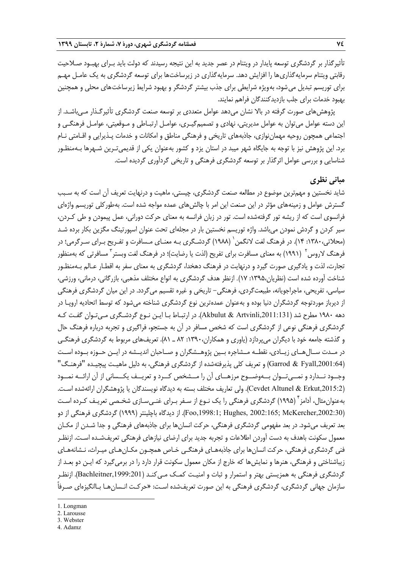تأثيرگذار بر گردشگري توسعه پايدار در ويتنام در عصر جديد به اين نتيجه رسيدند كه دولت بايد بـراي بهبـود صـلاحيت رقابتي ويتنام سرمايهگذاريها را افزايش دهد. سرمايهگذاري در زيرساختها براي توسعه گردشگري به يك عامـل مهـم براي توريسم تبديل ميشود، بهويژه شرايطي براي جذب بيشتر گردشگر و بهبود شرايط زيرساختهاي محلي و همچنين بهبود خدمات براي جلب بازديدكنندگان فراهم نمايند.

پژوهشهاي صورت گرفته در بالا نشان ميدهد عوامل متعددي بر توسعه صنعت گردشگري تأثيرگـذار مـيباشـد. از اين دسته عوامل ميتوان به عوامل مديريتي، نهادي و تصميمگيـري، عوامـل ارتبـاطي و مـوقعيتي، عوامـل فرهنگـي و اجتماعي همچون روحيه مهماننوازي، جاذبههاي تاريخي و فرهنگي مناطق و امكانات و خدمات پـذيرايي و اقـامتي نـام برد. اين پژوهش نيز با توجه به جايگاه شهر ميبد در استان يزد و كشور به عنوان يكي از قديميتـرين شـهرها بـهمنظـور شناسايي <sup>و</sup> بررسي عوامل اثرگذار بر توسعه گردشگري فرهنگي <sup>و</sup> تاريخي گردآوري گرديده است.

# **مباني نظري**

شايد نخستين و مهمترين موضوع در مطالعه صنعت گردشگري، چيستي، ماهيت و درنهايت تعريف آن است كه به سـبب گسترش عوامل و زمينههاي مؤثر در اين صنعت اين امر با چالشهاي عمده مواجه شده است. بهطوركلي توريسم واژهاي فرانسوي است كه از ريشه تور گرفتهشده است. تور در زبان فرانسه به معناي حركت دوراني، عمل پيمودن و طي كـردن، سير كردن و گردش نمودن ميباشد. واژه توريسم نخستين بار در مجلهاي تحت عنوان اسپورتينگ مگزين بكار برده شـد 1 (محلاتي:1380، 14). در فرهنگ لغت لانگمن (1988) گردشـگري بـه معنـاي مـسافرت و تفـريح بـراي سـرگرمي؛ در فرهنگ لاروس<sup>۲</sup> (۱۹۹۱) به معنای مسافرت برای تفریح (لذت یا رضایت)؛ در فرهنگ لغت وبستر<sup>۳</sup> مسافرتی که بهمنظور تجارت، لذت و يادگيري صورت گيرد و درنهايت در فرهنگ دهخدا، گردشگر ي به معناي سفر به اقطـار عـالم بـهمنظـور شناخت آورده شده است (نظريان:1395، 17). ازنظر هدف گردشگري به انواع مختلف مذهبي، بازرگاني، درماني، ورزشي، سياسي، تفريحي، ماجراجويانه، طبيعتگردي، فرهنگي- تاريخي و غيره تقسيم ميگردد. در اين ميان گردشگري فرهنگي از ديرباز موردتوجه گردشگران دنيا بوده و بهعنوان عمدهترين نوع گردشگري شناخته ميشود كه توسط اتحاديه اروپـا در دهه 1980 مطرح شد (,2011:131Artvinli & Akbulut(. در ارتبـاط بـا ايـن نـوع گردشـگري مـيتـوان گفـت كـه گردشگري فرهنگي نوعي از گردشگري است كه شخص مسافر در آن به جستجو، فراگيري و تجربه درباره فرهنگ حال و گذشته جامعه خود با ديگران ميپردازد (ياوري و همكاران:1390، 82 ـ 81). تعريفهاي مربوط به گردشگري فرهنگـي در مــدت ســالهــاي زيــادي، نقطــه مــشاجره بــين پژوهــشگران و صــاحبان انديــشه در ايــن حــوزه بــوده اســت (,2001:64Fyall & Garrod (و تعريف كلي پذيرفتهشده از گردشگري فرهنگي، به دليل ماهيـت پيچيـده "فرهنـگ" وجــود نــدارد و نمــيتــوان بــهوضــوح مرزهــاي آن را مــشخص كــرد و تعريــف يكــساني از آن ارائــه نمــود (Cevdet Altunel & Erkut,2015:2). ولي تعاريف مختلف بسته به ديدگاه نويسندگان يا پژوهشگران ارائهشده اسـت. بهعنوانِ مثال، آدامز <sup>۴</sup> (۱۹۹۵) گردشگری فرهنگی را یک نـوع از سـفر بـرای غنـیسـازی شخـصی تعریـف کـرده اسـت (,2002:30McKercher; 2002:165 ,Hughes; ,1998:1Foo(. از ديدگاه باچلينتر (1999) گردشگري فرهنگي از دو بعد تعريف ميشود. در بعد مفهومي گردشگري فرهنگي، حركت انسانها براي جاذبههاي فرهنگي و جدا شـدن از مكـان معمول سكونت باهدف به دست آوردن اطلاعات و تجربه جديد براي ارضاي نيازهاي فرهنگي تعريف شـده اسـت. ازنظـر فني گردشگري فرهنگي، حركت انسانها براي جاذبههـاي فرهنگـي خـاص همچـون مكـانهـاي ميـراث، نـشانههـاي زيباشناختي و فرهنگي، هنرها و نمايشها كه خارج از مكان معمول سكونت قرار دارد را در برمي گيرد كه ايـن دو بعـد از گردشگري فرهنگي به همزيستي بهتر و استمرار و ثبات و امنيـت كمـك مـي كنـد (,1999:201Bachleitner(. ازنظـر سازمان جهاني گردشگري، گردشگري فرهنگي به اين صورت تعريفشده اسـت: «حركـت انـسانهـا بـاانگيزهاي صـرفاً

**.** 

- 3. Webster
- 4. Adamz

<sup>1.</sup> Longman

<sup>2.</sup> Larousse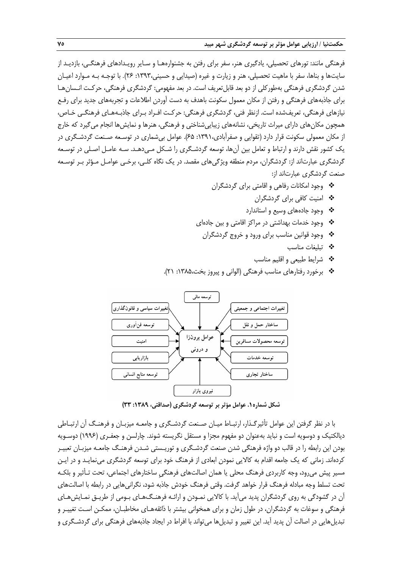فرهنگي مانند: تورهاي تحصيلي، يادگيري هنر، سفر براي رفتن به جشنوارههـا و سـاير رويـدادهاي فرهنگـي، بازديـد از سايتها و بناها، سفر با ماهيت تحصيلي، هنر و زيارت و غيره (صيدايي و حسيني:1393، 26). با توجـه بـه مـوارد اعيـان شدن گردشگري فرهنگي بهطوركلي از دو بعد قابلتعريف است. در بعد مفهومي: گردشگري فرهنگي، حركـت انـسانهـا براي جاذبههاي فرهنگي و رفتن از مكان معمول سكونت باهدف به دست آوردن اطلاعات و تجربه هاي جديد براي رفـع نيازهاي فرهنگي، تعريفشده است. ازنظر فني، گردشگري فرهنگي: حركـت افـراد بـراي جاذبـههـاي فرهنگـي خـاص، همچون مكانهاي داراي ميراث تاريخي، نشانههاي زيباييشناختي و فرهنگي، هنرها و نمايشها انجام ميگيرد كه خارج از مكان معمولي سكونت قرار دارد (تقوايي و صفرآبادي:1391، 65). عوامل بيشماري در توسـعه صـنعت گردشـگري در يك كشور نقش دارند و ارتباط و تعامل بين آن ها، توسعه گردشـگري را شـكل مـيدهـد. سـه عامـل اصـلي در توسـعه گردشگري عبارتاند از: گردشگران، مردم منطقه ويژگي هاي مقصد. در يک نگاه کلـي، برخـي عوامـل مـؤثر بـر توسـعه صنعت گردشگري عبارتاند از:

- وجود امكانات رفاهي و اقامتي براي گردشگران
	- امنيت كافي براي گردشگران
	- وجود جادههاي وسيع و استاندارد
- وجود خدمات بهداشتي در مراكز اقامتي و بين جادهاي
- وجود قوانين مناسب براي ورود و خروج گردشگران
	- تبليغات مناسب
	- شرايط طبيعي و اقليم مناسب
- برخورد رفتارهاي مناسب فرهنگي (الواني و پيروز بخت:1385، 21).



**شكل شماره.1 عوامل مؤثر بر توسعه گردشگري (صداقتي، :1389 33)**

با در نظر گرفتن اين عوامل تأثيرگـذار، ارتبـاط ميـان صـنعت گردشـگري و جامعـه ميزبـان و فرهنـگ آن ارتبـاطي ديالكتيك و دوسويه است و نبايد بهعنوان دو مفهوم مجزا و مستقل نگريسته شوند. چارلسن و جعفـري (1996) دوسـويه بودن اين رابطه را در قالب دو واژه فرهنگي شدن صنعت گردشـگري و توريـستي شـدن فرهنـگ جامعـه ميزبـان تعبيـر كردهاند. زماني كه يك جامعه اقدام به كالايي نمودن ابعادي از فرهنگ خود براي توسعه گردشگري مينمايـد و در ايـن مسير پيش ميرود، وجه كاربردي فرهنگ محلي يا همان اصالتهاي فرهنگيِ ساختارهاي اجتماعي، تحت تـأثير و بلكـه تحت تسلط وجه مبادله فرهنگ قرار خواهد گرفت. وقتي فرهنگ خودش جاذبه شود، نگرانيهايي در رابطه با اصالتهاي آن در گشودگي به روي گردشگران پديد ميآيد. با كالايي نمـودن و ارائـه فرهنـگهـاي بـومي از طريـق نمـايشهـاي فرهنگي و سوغات به گردشگران، در طول زمان و براي همخواني بيشتر با ذائقه هـاي مخاطبـان، ممكـن اسـت تغييـر و تبديل هايي در اصالت آن پديد آيد. اين تغيير و تبديل ها مي تواند با افراط در ايجاد جاذبههاي فرهنگي براي گردشـگري و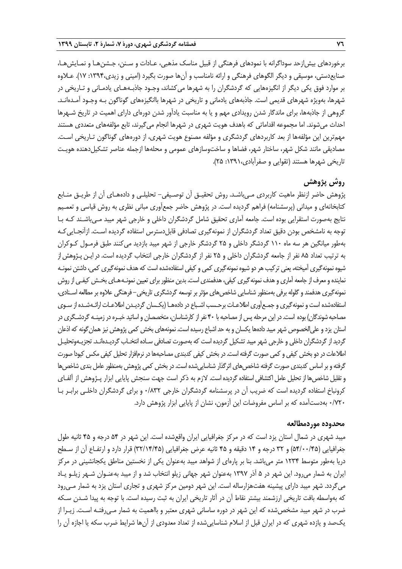برخوردهاي بيشازحد سوداگرانه با نمودهاي فرهنگي از قبيل مناسك مذهبي، عـادات و سـنن، جـشن هـا و نمـايشهـا، صنايعدستي، موسيقي و ديگر الگوهاي فرهنگي و ارائه نامناسب و آن ها صورت بگيرد (اميني و زيدي:1394، 17). عـلاوه بر موارد فوق يكي ديگر از انگيزههايي كه گردشگران را به شهرها ميكشاند، وجـود جاذبـههـاي يادمـاني و تـاريخي در شهرها، بهويژه شهرهاي قديمي است. جاذبههاي يادماني و تاريخي در شهرها باانگيزههاي گوناگون بـه وجـود آمـدهانـد. گروهي از جاذبهها، براي ماندگار شدن رويدادي مهم و يا به مناسبت يادآور شدن دورهاي داراي اهميت در تاريخ شـهرها احداث ميشوند. اما مجموعه اقداماتي كه باهدف هويت شهري در شهرها انجام ميگيرند، تابع مؤلفههاي متعددي هستند مهمترين اين مؤلفهها از بعد كاربردهاي گردشگري و مؤلفه مصنوع هويت شهري، از دوره هاي گوناگون تـاريخي اسـت. مصاديقي مانند شكل شهر، ساختار شهر، فضاها و ساختوسازهاي عمومي و محلهها ازجمله عناصر تشكيلدهنده هويـت تاريخي شهرها هستند (تقوايي و صفرآبادي:1391، 25).

# **روش پژوهش**

پژوهش حاضر ازنظر ماهيت كاربردي مـيباشـد. روش تحقيـق آن توصـيفي- تحليلـي و دادههـاي آن از طريـق منـابع كتابخانهاي و ميداني (پرسشنامه) فراهم گرديده است. در پژوهش حاضر جمعآوري مباني نظري به روش قياسي و تعمـيم نتايج بهصورت استقرايي بوده است. جامعه آماري تحقيق شامل گردشگران داخلي و خارجي شهر ميبد مـيباشـند كـه بـا توجه به نامشخص بودن دقيق تعداد گردشگران از نمونهگيري تصادفي قابلدسترس استفاده گرديده اسـت. ازآنجـاييكـه بهطور ميانگين هر سه ماه 110 گردشگر داخلي و 25 گردشگر خارجي از شهر ميبد بازديد ميكنند طبق فرمـول كـوكران به ترتيب تعداد 85 نفر از جامعه گردشگران داخلي و 25 نفر از گردشگران خارجي انتخاب گرديده است. در ايـن پـژوهش از شيوه نمونه گيري آميخته، يعني تركيب هر دو شيوه نمونه گيري كمي و كيفي استفادهشده است كه هدف نمونه گيري كمي، داشتن نمونـه نماينده و معرف از جامعه آماري و هدف نمونه گيري كيفي، هدفمندي است. بدين منظور براي تعيين نمونـه هـاي بخـش كيفـي از روش نمونهگيري هدفمند و گلوله برفي بهمنظور شناسايي شاخص هاي مؤثر بر توسعه گردشگري تاريخي– فرهنگي علاوه بر مطالعه اسـنادي، استفادهشده است و نمونه گيري و جمـع آوري اطلاعـات برحـسب اشـباع در دادههـا (يكـسان گرديـدن اطلاعـات ارائـهشـده از سـوي مصاحبه شوندگان) بوده است. در اين مرحله پس از مصاحبه با ۴۰ نفر از كارشناسان، متخصصان و اساتيد خبـره در زمينـه گردشـگري در استان يزد و علي الخصوص شهر ميبد دادهها يكسان و به حد اشباع رسيده است. نمونههاي بخش كمي پژوهش نيز همان گونه كه اذعان گرديد از گردشگران داخلي و خارجي شهر ميبد تشكيل گرديده است كه بهصورت تصادفي سـاده انتخـاب گرديـدهانـد. تجزيـهوتحليـل اطلاعات در دو بخش كيفي و كمي صورت گرفته است. در بخش كيفي كدبندي مصاحبهها در نرمافزار تحليل كيفي مكس كيودا صورت گرفته و بر اساس كدبندي صورت گرفته شاخص هاي اثر گذار شناسايي شده است. در بخش كمي پژوهش بهمنظور عامل بندي شاخص ها وتقليل شاخصها از تحليل عامل اكتشافي استفادهگرديده است. لازم به ذكر است جهت سنجش پايايي ابزار پـژوهش از آلفـاي كرونباخ استفاده گرديده است كه ضريب آن در پرسشنامه گردشگران خارجي 0/832 و براي گردشگران داخلـي برابـر بـا 0/720 بهدستآمده كه بر اساس مفروضات اين آزمون، نشان از پايايي ابزار پژوهش دارد.

#### **محدوده موردمطالعه**

ميبد شهري در شمال استان يزد است كه در مركز جغرافيايي ايران واقعشده است. اين شهر در 54 درجه و 45 ثانيه طول جغرافيايي (54/00/45) و 32 درجه و 14 دقيقه و 45 ثانيه عرض جغرافيايي (32/14/45) قرار دارد و ارتفـاع آن از سـطح دريا بهطور متوسط 1234 متر ميباشد. بنا بر پارهاي از شواهد ميبد بهعنوان يكي از نخستين مناطق يكجانشيني در مركز ايران به شمار ميرود. اين شهر در 5 آذر 1397 بهعنوان شهر جهاني زيلو انتخاب شد و از ميبد بهعنـوان شـهر زيلـو يـاد ميگردد. شهر ميبد داراي پيشينه هفتهزارساله است. اين شهر دومين مركز شهري و تجاري استان يزد به شمار مـيرود كه بهواسطه بافت تاريخي ارزشمند بيشتر نقاط آن در آثار تاريخي ايران به ثبت رسيده است. با توجه به پيدا شـدن سـكه ضرب در شهر ميبد مشخصشده كه اين شهر در دوره ساساني شهري معتبر و بااهميت به شمار مـيرفتـه اسـت. زيـرا از يكصد و يازده شهري كه در ايران قبل از اسلام شناساييشده از تعداد معدودي از آنها شرايط ضرب سكه يا اجازه آن را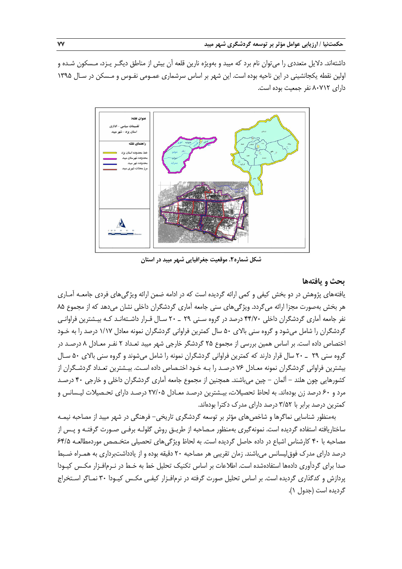داشتهاند. دلايل متعددي را ميتوان نام برد كه ميبد و بهويژه نارين قلعه آن بيش از مناطق ديگـر يـزد، مـسكون شـده و اولين نقطه يكجانشيني در اين ناحيه بوده است. اين شهر بر اساس سرشماري عمـومي نفـوس و مـسكن در سـال 1395 داراي 80712 نفر جمعيت بوده است.



**شكل شماره.2 موقعيت جغرافيايي شهر ميبد در استان**

# **بحث و يافتهها**

يافتههاي پژوهش در دو بخش كيفي و كمي ارائه گرديده است كه در ادامه ضمن ارائه ويژگي هاي فردي جامعـه آمـاري هر بخش بهصورت مجزا ارائه ميگردد. ويژگيهاي سني جامعه آماري گردشگران داخلي نشان ميدهد كه از مجموع 85 نفر جامعه آماري گردشگران داخلي 44/70 درصد در گروه سـني 29 ـ 20 سـال قـرار داشـتهانـد كـه بيـشترين فراوانـي گردشگران را شامل ميشود و گروه سني بالاي 50 سال كمترين فراواني گردشگران نمونه معادل 1/17 درصد را به خـود اختصاص داده است. بر اساس همين بررسي از مجموع 25 گردشگر خارجي شهر ميبد تعـداد 2 نفـر معـادل 8 درصـد در گروه سني 29 ـ 20 سال قرار دارند كه كمترين فراواني گردشگران نمونه را شامل ميشوند و گروه سني بالاي 50 سـال بيشترين فراواني گردشگران نمونه معـادل 76 درصـد را بـه خـود اختـصاص داده اسـت . بيـشترين تعـداد گردشـگران از كشورهايي چون هلند - آلمان - چين ميباشند. همچنين از مجموع جامعه آماري گردشگران داخلي و خارجي 40 درصـد مرد و 60 درصد زن بودهاند. به لحاظ تحصيلات، بيـشترين درصـد معـادل 27/05 درصـد داراي تحـصيلات ليـسانس و كمترين درصد برابر با 3/52 درصد داراي مدرك دكترا بودهاند.

بهمنظور شناسايي نماگرها و شاخصهاي مؤثر بر توسعه گردشگري تاريخي- فرهنگي در شهر ميبد از مصاحبه نيمـه ساختاريافته استفاده گرديده است. نمونهگيري بهمنظور مـصاحبه از طريـق روش گلولـه برفـي صـورت گرفتـه و پـس از مصاحبه با 40 كارشناس اشباع در داده حاصل گرديده است. به لحاظ ويژگيهاي تحصيلي متخـصص موردمطالعـه 64/5 درصد داراي مدرك فوقليسانس ميباشند. زمان تقريبي هر مصاحبه 20 دقيقه بوده و از يادداشتبرداري به همـراه ضـبط صدا براي گردآوري دادهها استفادهشده است. اطلاعات بر اساس تكنيك تحليل خط به خـط در نـرمافـزار مكـس كيـودا پردازش و كدگذاري گرديده است. بر اساس تحليل صورت گرفته در نرمافـزار كيفـي مكـس كيـودا 30 نمـاگر اسـتخراج گرديده است (جدول 1).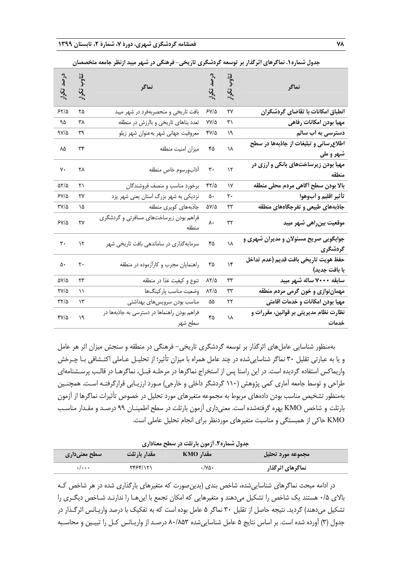| تناوب تكرار<br>درصد تکرار<br>ا<br>نماگر<br>انطباق امکانات با تقاضای گردشگران<br>۶۷/۵<br>٢٧<br>مهيا بودن امكانات رفاهي<br>VV/4<br>۳۱<br>دسترسی به أب سالم<br>۲۷/۵<br>۱۹<br>اطلاعرسانی و تبلیغات از جاذبهها در سطح<br>۴۵<br>١٨ |  |                                                        |                      |                                   |
|------------------------------------------------------------------------------------------------------------------------------------------------------------------------------------------------------------------------------|--|--------------------------------------------------------|----------------------|-----------------------------------|
|                                                                                                                                                                                                                              |  | نماگر                                                  | تناوب<br>:(<br>تكرار | درصد<br>تكرار                     |
|                                                                                                                                                                                                                              |  | بافت تاریخی و منحصربهفرد در شهر میبد                   | ۲۵                   | ۶۲/۵                              |
|                                                                                                                                                                                                                              |  | تعدد بناهای تاریخی و باارزش در منطقه                   | ٣٨                   | ۹۵                                |
|                                                                                                                                                                                                                              |  | معروفيت جهاني شهر بهعنوان شهر زيلو                     | ٣٩                   | ۹۷/۵                              |
| شهر و ملي                                                                                                                                                                                                                    |  | ميزان امنيت منطقه                                      | ٣۴                   | ٨۵                                |
| مهیا بودن زیرساختهای بانکی و ارزی در<br>٣.<br>۱۲<br>منطقه                                                                                                                                                                    |  | أدابورسوم خاص منطقه                                    | ۲۸                   | ٧٠                                |
| بالا بودن سطح أكاهي مردم محلي منطقه<br>۴۲/۵<br>١٧                                                                                                                                                                            |  | برخورد مناسب و منصف فروشندگان                          | ۲۱                   | ۵۲/۵                              |
| تأثير اقليم و أبوهوا<br>۵۰<br>٢٠                                                                                                                                                                                             |  | نزدیکی به شهر بزرگ استان یعنی شهر یزد                  | ٢٧                   | ۶۷/۵                              |
| جاذبههای طبیعی و تفرجگاههای منطقه<br>۵۷/۵<br>۲۳                                                                                                                                                                              |  | جاذبههاى كويرى منطقه                                   | ۱۵                   | $\mathsf{r}\mathsf{v}/\mathsf{a}$ |
| ٨٠<br>٣٢<br>موقعیت بین٫اهی شهر میبد                                                                                                                                                                                          |  | فراهم بودن زیرساختهای مسافرتی و گردشگری<br>منطقه       | ٢٧                   | $5Y/\Delta$                       |
| جوابگویی صریح مسئولان و مدیران شهری و<br>١٨<br>۴۵<br>گردشگری                                                                                                                                                                 |  | سرمایهگذاری در ساماندهی بافت تاریخی شهر                | $\mathcal{N}$        | ٣٠                                |
| حفظ هويت تاريخي بافت قديم (عدم تداخل<br>$\lambda$<br>٣۵<br>با بافت جديد)                                                                                                                                                     |  | راهنمایان مجرب و کارآزموده در منطقه                    | ٢٠                   | ۵۰                                |
| سابقه ۲۰۰۰ ساله شهر میبد<br>$\lambda \Upsilon/\Delta$<br>٣٣                                                                                                                                                                  |  | تنوع و كيفيت غذا در منطقه                              | ٢٣                   | $\Delta V/\Delta$                 |
| مهماننوازی و خون گرمی مردم منطقه<br>۸۲/۵<br>٣٣                                                                                                                                                                               |  | وضعيت مناسب پاركينگها                                  | ۱۱                   | $\frac{Y}{4}$                     |
| مهیا بودن امکانات و خدمات اقامتی<br>۲۲<br>۵۵                                                                                                                                                                                 |  | مناسب بودن سرويسهاى بهداشتى                            | $\mathcal{N}$        | ۳۲/۵                              |
| نظارت نظام مدیریتی بر قوانین، مقررات و<br>۴۵<br>١٨<br>خدمات                                                                                                                                                                  |  | فراهم بودن راهنماها در دسترسی به جاذبهها در<br>سطح شهر | ١٩                   | $\frac{8}{4}$                     |

**جدول شماره.1 نماگرهاي اثرگذار بر توسعه گردشگري تاريخي- فرهنگي در شهر ميبد ازنظر جامعه متخصصان** 

بهمنظور شناسايي عاملهاي اثرگذار بر توسعه گردشگري تاريخي- فرهنگي در منطقه و سنجش ميزان اثر هر عامل و يا به عبارتي تقليل 30 نماگر شناساييشده در چند عامل همراه با ميزان تأثير؛ از تحليـل عـاملي اكتـشافي بـا چـرخش واريماكس استفاده گرديده است. در اين راستا پس از استخراج نماگرها در مرحلـه قبـل، نماگرهـا در قالـب پرسـشنامهاي طراحي و توسط جامعه آماري كمي پژوهش (110 گردشگر داخلي و خارجي) مـورد ارزيـابي قرارگرفتـه اسـت. همچنـين بهمنظور تشخيص مناسب بودن دادههاي مربوط به مجموعه متغيرهاي مورد تحليل در خصوص تأثيرات نماگرها از آزمون بارتلت و شاخص KMO بهره گرفتهشده است. معنيداري آزمون بارتلت در سطح اطمينـان 99 درصـد و مقـدار مناسـب KMO حاكي از همبستگي و مناسبت متغيرهاي موردنظر براي انجام تحليل عاملي است.

**جدول شماره.2 آزمون بارتلت در سطح معناداري** 

|                           | --              |           |                   |
|---------------------------|-----------------|-----------|-------------------|
| سطح معنیداری              | مقدار بارتلت    | مقدار KMO | مجموعه مورد تحليل |
| $\cdot$ / $\cdot$ $\cdot$ | <b>TFSF/151</b> | ۰/۷۵۰     | نماگرهای اثرگذار  |

در ادامه مبحث نماگرهاي شناساييشده، شاخص بندي (بدينصورت كه متغيرهاي بارگذاري شده در هر شاخص كـه بالاي 0/5 هستند يك شاخص را تشكيل ميدهند و متغيرهايي كه امكان تجمع با اينهـا را ندارنـد شـاخص ديگـري را تشكيل ميدهند) گرديد. نتيجه حاصل از تقليل 30 نماگر 5 عامل بوده است كه به تفكيك با درصد واريـانس اثرگـذار در جدول (3) آورده شده است. بر اساس نتايج 5 عامل شناساييشده 80/853 درصـد از واريـانس كـل را تبيـين و محاسـبه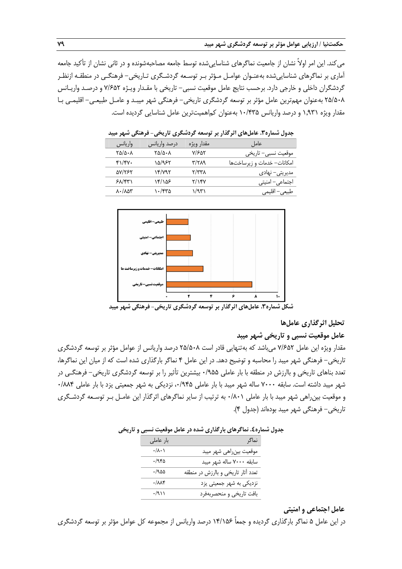ميكند. اين امر اولاً نشان از جامعيت نماگرهاي شناساييشده توسط جامعه مصاحبهشونده و در ثاني نشان از تأكيد جامعه آماري بر نماگرهاي شناساييشده بهعنـوان عوامـل مـؤثر بـر توسـعه گردشـگري تـاريخي- فرهنگـي در منطقـه ازنظـر گردشگران داخلي و خارجي دارد. برحسب نتايج عامل موقعيت نسبي- تاريخي با مقـدار ويـژه 7/652 و درصـد واريـانس 25/508 بهعنوان مهمترين عامل مؤثر بر توسعه گردشگري تاريخي- فرهنگي شهر ميبـد و عامـل طبيعـي - اقليمـي بـا مقدار ويژه 1,931 و درصد واريانس 10/435 بهعنوان كماهميتترين عامل شناسايي گرديده است.

|                                   |                                      |            | جدول شماره۳. عاملهای اثرگذار بر توسعه گردشگری تاریخی- فرهنگی شهر میبد |
|-----------------------------------|--------------------------------------|------------|-----------------------------------------------------------------------|
| واريانس                           | درصد واريانس                         | مقدار ويژه | عامل                                                                  |
| ۲۵/۵۰۸                            | $\Gamma \Delta/\Delta \cdot \Lambda$ | Y/20Y      | موقعیت نسبی– تاریخی                                                   |
| $f\gamma/\gamma$                  | ۱۵/۹۶۲                               | ۳/۲۸۹      | امكانات- خدمات و زيرساختها                                            |
| <b>AV/TEY</b>                     | ۱۴/۷۹۲                               | $\gamma$   | مدیریتی– نهادی                                                        |
| $5\lambda$                        | ۱۴/۱۵۶                               | ۲/۱۴۷      | اجتماعی- امنیتی                                                       |
| $\lambda$ -/ $\lambda$ $\delta$ ۳ | ۱۰/۴۳۵                               | ۱/۹۳۱      | طبیعی- اقلیمی                                                         |



**شكل شماره.3 عاملهاي اثرگذار بر توسعه گردشگري تاريخي- فرهنگي شهر ميبد**

**تحليل اثرگذاري عاملها** 

**عامل موقعيت نسبي و تاريخي شهر ميبد** 

مقدار ويژه اين عامل 7/652 ميباشد كه بهتنهايي قادر است 25/508 درصد واريانس از عوامل مؤثر بر توسعه گردشگري تاريخي- فرهنگي شهر ميبد را محاسبه و توضيح دهد. در اين عامل 4 نماگر بارگذاري شده است كه از ميان اين نماگرها، تعدد بناهاي تاريخي و باارزش در منطقه با بار عاملي 0/955 بيشترين تأثير را بر توسعه گردشگري تاريخي- فرهنگـي در شهر ميبد داشته است. سابقه ٧٠٠٠ ساله شهر ميبد با بار عاملي ٠/٩۴۵ نزديكي به شهر جمعيتي يزد با بار عاملي ٨٨٩ و موقعيت بينراهي شهر ميبد با بار عاملي 0/801 به ترتيب از ساير نماگرهاي اثرگذار اين عامـل بـر توسـعه گردشـگري تاريخي- فرهنگي شهر ميبد بودهاند (جدول 4).

| بار عاملی                | نماگر                              |
|--------------------------|------------------------------------|
| $\cdot/\lambda\cdot$     | موقعیت بین,راهی شهر میبد           |
| ۱۹۴۵.                    | سابقه ۷۰۰۰ ساله شهر میبد           |
| .1900                    | تعدد آثار تاریخی و باارزش در منطقه |
| $\cdot/\lambda\lambda$ ۴ | نزدیکی به شهر جمعیتی یزد           |
| $\cdot$ /911             | بافت تاريخي و منحصربهفرد           |
|                          |                                    |

### **جدول شماره.4 نماگرهاي بارگذاري شده در عامل موقعيت نسبي و تاريخي**

**عامل اجتماعي و امنيتي** 

در اين عامل 5 نماگر بارگذاري گرديده و جمعاً 14/156 درصد واريانس از مجموعه كل عوامل مؤثر بر توسعه گردشگري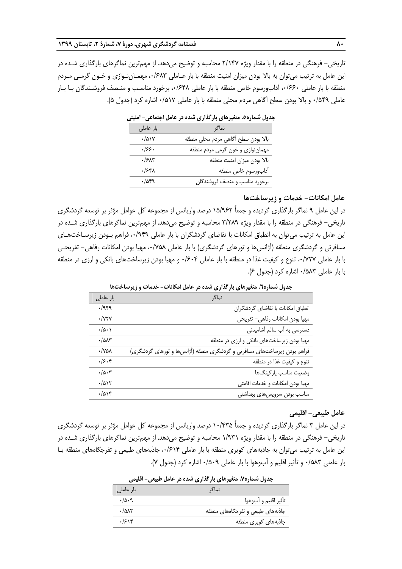تاريخي- فرهنگي در منطقه را با مقدار ويژه 2/147 محاسبه و توضيح ميدهد. از مهمترين نماگرهاي بارگذاري شـده در اين عامل به ترتيب ميتوان به بالا بودن ميزان امنيت منطقه با بار عـاملي ،0/683 مهمـاننـوازي و خـون گرمـي مـردم منطقه با بار عاملي ،0/660 آدابورسوم خاص منطقه با بار عاملي ،0/648 برخورد مناسـب و منـصف فروشـندگان بـا بـار عاملي 0/549 <sup>و</sup> بالا بودن سطح آگاهي مردم محلي منطقه با بار عاملي 0/517 اشاره كرد (جدول 5).

| بار عاملی    | نماگر                               |
|--------------|-------------------------------------|
| $\cdot$ /۵۱۷ | بالا بودن سطح أكاهى مردم محلى منطقه |
| ۰۱۶۶۰        | مهمان نوازی و خون گرمی مردم منطقه   |
| .75          | بالا بودن ميزان امنيت منطقه         |
| ۰/۶۴۸        | أدابورسوم خاص منطقه                 |
| $\cdot$ /921 | برخورد مناسب و منصف فروشندگان       |

### **عامل امكانات- خدمات و زيرساختها**

در اين عامل 9 نماگر بارگذاري گرديده و جمعاً 15/962 درصد واريانس از مجموعه كل عوامل مؤثر بر توسعه گردشگري تاريخي- فرهنگي در منطقه را با مقدار ويژه 3/289 محاسبه و توضيح ميدهد. از مهمترين نماگرهاي بارگذاري شـده در اين عامل به ترتيب ميتوان به انطباق امكانات با تقاضاي گردشگران با بار عاملي ،0/949 فراهم بـودن زيرسـاختهـاي مسافرتي و گردشگري منطقه (آژانس ها و تورهاي گردشگري) با بار عاملي ،٧۵۸، مهيا بودن امكانات رفاهي– تفريحـي با بار عاملي ،0/727 تنوع و كيفيت غذا در منطقه با بار عاملي 0/604 و مهيا بودن زيرساختهاي بانكي و ارزي در منطقه با بار عاملي 0/583 اشاره كرد (جدول 6).

|                                 | ל ניבי<br>-د حس م<br>جغون شمکرد: . شخیر سای باز مداری                    |
|---------------------------------|--------------------------------------------------------------------------|
| بار عاملی                       | نماگر                                                                    |
| .7999                           | انطباق امكانات با تقاضاى گردشگران                                        |
| $\cdot$ / $\forall$ ۲۷          | مهيا بودن امكانات رفاهي- تفريحي                                          |
| $\cdot/\Delta \cdot$            | دسترسی به آب سالم آشامیدنی                                               |
| $-101$                          | مهیا بودن زیرساختهای بانکی و ارزی در منطقه                               |
| $\cdot$ / YAA                   | فراهم بودن زیرساختهای مسافرتی و گردشگری منطقه (آژانسها و تورهای گردشگری) |
| .75.8                           | تنوع و كيفيت غذا در منطقه                                                |
| $\cdot/\Delta \cdot \mathbf{y}$ | وضعيت مناسب پاركينگها                                                    |
| $\cdot/\Delta$ 15               | مهيا بودن امكانات و خدمات اقامتى                                         |
| $\cdot/\Delta$                  | مناسب بودن سرويس هاى بهداشتى                                             |

**جدول شماره.6 متغيرهاي بارگذاري شده در عامل امكانات- خدمات و زيرساختها** 

#### **عامل طبيعي- اقليمي**

در اين عامل 3 نماگر بارگذاري گرديده و جمعاً 10/435 درصد واريانس از مجموعه كل عوامل مؤثر بر توسعه گردشگري تاريخي- فرهنگي در منطقه را با مقدار ويژه 1/931 محاسبه و توضيح ميدهد. از مهمترين نماگرهاي بارگذاري شـده در اين عامل به ترتيب ميتوان به جاذبههاي كويري منطقه با بار عاملي ،0/614 جاذبههاي طبيعي و تفرجگاههاي منطقه بـا بار عاملي 0/583 و تأثير اقليم و آبوهوا با بار عاملي 0/509 اشاره كرد (جدول 7).

|              | جنون تشدر ۱۰ ستیر سی بار شاری شیعه در حاش خبیبی مسینی |
|--------------|-------------------------------------------------------|
| بار عاملے ا  | نماگ                                                  |
| .40.9        | تأثير اقليم و آبوهوا                                  |
| $\cdot$ /۵۸۳ | جاذبههای طبیعی و تفرجگاههای منطقه                     |
| .7518        | جاذبههای کویری منطقه                                  |

# **جدول شماره.7 متغيرهاي بارگذاري شده در عامل طبيعي- اقليمي**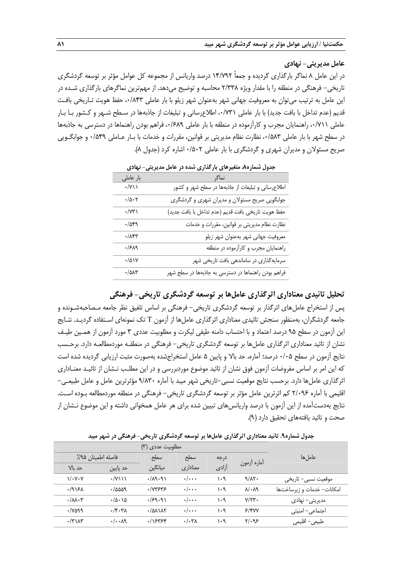**عامل مديريتي- نهادي** 

در اين عامل 8 نماگر بارگذاري گرديده و جمعاً 14/792 درصد واريانس از مجموعه كل عوامل مؤثر بر توسعه گردشگري تاريخي- فرهنگي در منطقه را با مقدار ويژه 2/338 محاسبه و توضيح ميدهد. از مهمترين نماگرهاي بارگذاري شـده در اين عامل به ترتيب ميتوان به معروفيت جهاني شهر بهعنوان شهر زيلو با بار عاملي ،0/843 حفظ هويت تـاريخي بافـت قديم (عدم تداخل با بافت جديد) با بار عاملي ،0/731 اطلاعرساني و تبليغات از جاذبهها در سـطح شـهر و كـشور بـا بـار عاملي ،0/711 راهنمايان مجرب و كارآزموده در منطقه با بار عاملي ،0/689 فراهم بودن راهنماها در دسترسي به جاذبهها در سطح شهر با بار عاملي ۰/۵۸۳ نظارت نظام مديريتي بر قوانين، مقررات و خدمات با بـار عـاملي ۰/۵۴۹ و جوابگـويي صريح مسئولان و مديران شهري و گردشگري با بار عاملي 0/502 اشاره كرد (جدول 8).

| <b>U-V</b>                       | -ر - س- - - - - -<br>היים הישינט                    |
|----------------------------------|-----------------------------------------------------|
| بار عاملی                        | نماگر                                               |
| $\cdot$ /Y \ \                   | اطلاعرسانی و تبلیغات از جاذبهها در سطح شهر و کشور   |
| $\cdot/\Delta \cdot \Upsilon$    | جوابگویی صریح مسئولان و مدیران شهری و گردشگری       |
| $\cdot$ / $\vee\uparrow\uparrow$ | حفظ هويت تاريخي بافت قديم (عدم تداخل با بافت جديد)  |
| $\cdot$ /049                     | نظارت نظام مدیریتی بر قوانین، مقررات و خدمات        |
| $\cdot/\Lambda$ ۴۳               | معروفيت جهاني شهر بهعنوان شهر زيلو                  |
| .1519                            | راهنمایان مجرب و کارآزموده در منطقه                 |
| $\cdot/\Delta$                   | سرمایهگذاری در ساماندهی بافت تاریخی شهر             |
| $\cdot/\Delta\Lambda\Upsilon$    | فراهم بودن راهنماها در دسترسی به جاذبهها در سطح شهر |

**جدول شماره.8 متغيرهاي بارگذاري شده در عامل مديريتي- نهادي** 

**تحليل تائيدي معناداري اثرگذاري عاملها بر توسعه گردشگري تاريخي- فرهنگي** 

پس از استخراج عاملهاي اثرگذار بر توسعه گردشگري تاريخي- فرهنگي بر اساس تلفيق نظر جامعه مـصاحبهشـونده و جامعه گردشگران، بهمنظور سنجش تائيدي معناداري اثرگذاري عاملها از آزمون T تك نمونهاي اسـتفاده گرديـد. نتـايج اين آزمون در سطح 95 درصد اعتماد و با احتساب دامنه طيفي ليكرت و مطلوبيت عددي 3 مورد آزمون از همـين طيـف نشان از تائيد معناداري اثرگذاري عاملها بر توسعه گردشگري تاريخي- فرهنگي در منطقـه موردمطالعـه دارد. برحـسب نتايج آزمون در سطح 0/05 درصد؛ آماره، حد بالا و پايين 5 عامل استخراجشده بهصورت مثبت ارزيابي گرديده شده است كه اين امر بر اساس مفروضات آزمون فوق نشان از تائيد موضوع موردبررسي و در اين مطلـب نـشان از تائيـد معنـاداري اثرگذاري عاملها دارد. برحسب نتايج موقعيت نسبي-تاريخي شهر ميبد با آماره 9/830 مؤثرترين عامل و عامل طبيعـي- اقليمي با آماره 2/096 كم اثرترين عامل مؤثر بر توسعه گردشگري تاريخي- فرهنگي در منطقه موردمطالعه بـوده اسـت. نتايج بهدستآمده از اين آزمون با درصد واريانسهاي تبيين شده براي هر عامل همخواني داشته و اين موضوع نـشان از صحت و تائيد يافتههاي تحقيق دارد (9).

| جدول شماره۹. تائید معناداری اثرگذاری عاملها بر توسعه گردشگری تاریخی- فرهنگی در شهر میبد |
|-----------------------------------------------------------------------------------------|
|-----------------------------------------------------------------------------------------|

| مطلوبیت عددی (۳)                |                                                   |                                      |                         |       |                          |                            |
|---------------------------------|---------------------------------------------------|--------------------------------------|-------------------------|-------|--------------------------|----------------------------|
|                                 | فاصله اطمينان ٩۵٪                                 | سطح                                  | سطح                     | درجه  |                          | عامل ها                    |
| حد نالا                         | حد پایین                                          | ميانگين                              | معناداري                | آزادى | أماره أزمون              |                            |
| $\sqrt{\cdot V \cdot V}$        | $\cdot$ /Y\\\                                     | .79.91                               | $\cdot/\cdot\cdot$      | ۱۰۹   | 9/N                      | موقعیت نسبی– تاریخی        |
| .1915A                          | $\cdot$ /aaa9                                     | $\cdot$ / $\vee \vee \vee \vee \vee$ | $\cdot/\cdot\cdot\cdot$ | ۱۰۹   | $\lambda/\cdot\lambda$ 9 | امکانات- خدمات و زیرساختها |
| $\cdot/\lambda\lambda\cdot\tau$ | $\cdot/\Delta \cdot \Delta$                       | .159.91                              | $\cdot/\cdot\cdot$      | ۱۰۹   | $V/YY$ .                 | مدیریتی– نهادی             |
| ./vaqq                          | $\cdot$ / $\cdot$ $\cdot$ $\cdot$ $\vee$ $\wedge$ | $1/2$ $\lambda$ $\lambda$            | $\cdot/\cdot\cdot$      | ۱۰۹   | 5/8VV                    | اجتماعی- امنیتی            |
| $\cdot$ /٣١٨٣                   | . / A9                                            | .1555                                | $. / . \tau \lambda$    | ۱۰۹   | $Y/\cdot95$              | طبیعی- اقلیمی              |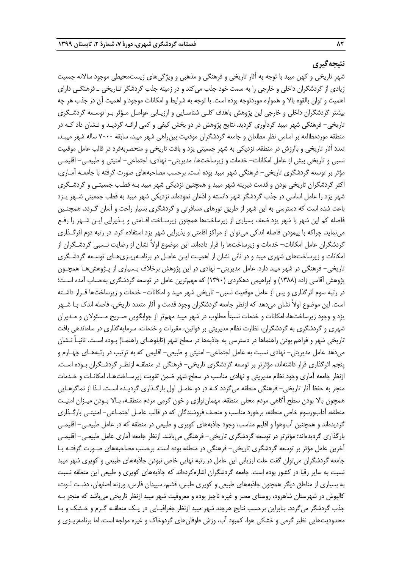# **نتيجهگيري**

شهر تاريخي و كهن ميبد با توجه به آثار تاريخي و فرهنگي و مذهبي و ويژگيهاي زيستمحيطي موجود سالانه جمعيت زيادي از گردشگران داخلي و خارجي را به سمت خود جذب ميكند و در زمينه جذب گردشگر تـاريخي ـ فرهنگـي داراي اهميت و توان بالقوه بالا و همواره موردتوجه بوده است . با توجه به شرايط و امكانات موجود و اهميت آن در جذب هر چه بيشتر گردشگران داخلي و خارجي اين پژوهش باهدف كلـي شناسـايي و ارزيـابي عوامـل مـؤثر بـر توسـعه گردشـگري تاريخي- فرهنگي شهر ميبد گردآوري گرديد. نتايج پژوهش در دو بخش كيفي و كمي ارائـه گرديـد و نـشان داد كـه در منطقه موردمطالعه بر اساس نظر مطلعان و جامعه گردشگران موقعيت بينراهي شهر ميبد، سابقه 7000 ساله شهر ميبـد، تعدد آثار تاريخي و باارزش در منطقه، نزديكي به شهر جمعيتي يزد و بافت تاريخي و منحصربهفرد در قالب عامل موقعيت نسبي و تاريخي بيش از عامل امكانات- خدمات و زيرساختها، مديريتي- نهادي، اجتماعي- امنيتي و طبيعـي- اقليمـي مؤثر بر توسعه گردشگري تاريخي- فرهنگي شهر ميبد بوده است. برحسب مصاحبههاي صورت گرفته با جامعـه آمـاري، اكثر گردشگران تاريخي بودن و قدمت ديرينه شهر ميبد و همچنين نزديكي شهر ميبد بـه قطـب جمعيتـي و گردشـگري شهر يزد را عامل اساسي در جذب گردشگر شهر دانسته و اذعان نمودهاند نزديكي شهر ميبد به قطب جمعيتي شـهر يـزد باعث شده است كه دسترسي به اين شهر از طريق تورهاي مسافرتي و گردشگري بسيار راحت و آسان گـردد . همچنـين فاصله كم اين شهر با شهر يزد ضعف بسياري از زيرساخت ها همچون زيرسـاخت اقـامتي و پـذيرايي ايـن شـهر را رفـع مينمايد. چراكه با پيمودن فاصله اندكي ميتوان از مراكز اقامتي و پذيرايي شهر يزد استفاده كرد . در رتبه دوم اثرگـذاري گردشگران عامل امكانات- خدمات و زيرساختها را قرار دادهاند. اين موضوع اولاً نشان از رضايت نـسبي گردشـگران از امكانات و زيرساختهاي شهري ميبد و در ثاني نشان از اهميـت ايـن عامـل در برنامـه ريـزيهـاي توسـعه گردشـگري تاريخي- فرهنگي در شهر ميبد دارد. عامل مديريتي- نهادي در اين پژوهش برخلاف بـسياري از پـژوهش هـا همچـون پژوهش آقاسي زاده (1388) و ابراهيمي دهكردي (1390) كه مهمترين عامل در توسعه گردشگري بهحساب آمده اسـت؛ در رتبه سوم اثرگذاري و پس از عامل موقعيت نسبي - تاريخي شهر ميبد و امكانات- خدمات و زيرساختها قـرار داشـته است. اين موضوع اولاً نشان ميدهد كه ازنظر جامعه گردشگران وجود قدمت و آثار متعدد تاريخي، فاصله اندك بـا شـهر يزد و وجود زيرساختها، امكانات و خدمات نسبتاً مطلوب در شهر ميبد مهم تر از جوابگويي صـريح مـسئولان و مـديران شهري و گردشگري به گردشگران، نظارت نظام مديريتي بر قوانين، مقررات و خدمات، سرمايهگذاري در ساماندهي بافت تاريخي شهر و فراهم بودن راهنماها در دسترسي به جاذبهها در سطح شهر (تابلوهـاي راهنمـا) بـوده اسـت. ثانيـاً نـشان ميدهد عامل مديريتي- نهادي نسبت به عامل اجتماعي- امنيتي و طبيعي- اقليمي كه به ترتيب در رتبههـاي چهـارم و پنجم اثرگذاري قرار داشتهاند، مؤثرتر بر توسعه گردشگري تاريخي- فرهنگي در منطقـه ازنظـر گردشـگران بـوده اسـت . ازنظر جامعه آماري وجود نظام مديريتي و نهادي مناسب در سطح شهر ضمن تقويت زيرسـاخت هـا، امكانـات و خـدمات منجر به حفظ آثار تاريخي- فرهنگي منطقه ميگردد كـه در دو عامـل اول بارگـذاري گرديـده اسـت. لـذا از نماگرهـايي همچون بالا بودن سطح آگاهي مردم محلي منطقه، مهماننوازي و خون گرمي مردم منطقـه، بـالا بـودن ميـزان امنيـت منطقه، آدابورسوم خاص منطقه، برخورد مناسب و منصف فروشندگان كه در قالب عامـل اجتمـاعي- امنيتـي بارگـذاري گرديدهاند و همچنين آبوهوا و اقليم مناسب، وجود جاذبههاي كويري و طبيعي در منطقه كه در عامل طبيعـي - اقليمـي بارگذاري گرديدهاند؛ مؤثرتر در توسعه گردشگري تاريخي- فرهنگي ميباشد. ازنظر جامعه آماري عامل طبيعـي- اقليمـي آخرين عامل مؤثر بر توسعه گردشگري تاريخي- فرهنگي در منطقه بوده است. برحسب مصاحبههاي صـورت گرفتـه بـا جامعه گردشگران ميتوان گفت علت ارزيابي اين عامل در رتبه نهايي خاص نبودن جاذبههاي طبيعي و كويري شهر ميبد نسبت به ساير رقبا در كشور بوده است. جامعه گردشگران اشارهكردهاند كه جاذبههاي كويري و طبيعي اين منطقه نسبت به بسياري از مناطق ديگر همچون جاذبههاي طبيعي و كويري طبس، قشم، سپيدان فارس، ورزنه اصفهان، دشـت لـوت، كالپوش در شهرستان شاهرود، روستاي مصر و غيره ناچيز بوده و معروفيت شهر ميبد ازنظر تاريخي مي باشد كه منجر بـه جذب گردشگر ميگردد. بنابراين برحسب نتايج هرچند شهر ميبد ازنظر جغرافيـايي در يـك منطقـه گـرم و خـشك و بـا محدوديتهايي نظير گرمي و خشكي هوا، كمبود آب، وزش طوفانهاي گردوخاك و غيره مواجه است، اما برنامهريـزي و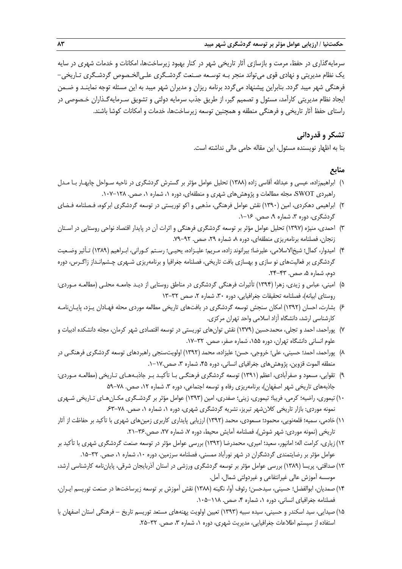سرمايهگذاري در حفظ، مرمت و بازسازي آثار تاريخي شهر در كنار بهبود زيرساخت ها، امكانات و خدمات شهري در سايه يك نظام مديريتي و نهادي قوي ميتواند منجر بـه توسـعه صـنعت گردشـگري علـيالخـصوص گردشـگري تـاريخي- فرهنگي شهر ميبد گردد. بنابراين پيشنهاد ميگردد برنامه ريزان و مديران شهر ميبد به اين مسئله توجه نماينـد و ضـمن ايجاد نظام مديريتي كارآمد، مسئول و تصميم گير، از طريق جذب سرمايه دولتي و تشويق سـرمايه گـذاران خـصوصي در راستاي حفظ آثار تاريخي و فرهنگي منطقه و همچنين توسعه زيرساختها، خدمات و امكانات كوشا باشند.

# **تشكر و قدرداني**

بنا به اظهار نويسنده مسئول، اين مقاله حامي مالي نداشته است.

# **منابع**

- 1) ابراهيمزاده، عيسي و عبداالله آقاسي زاده (1388) تحليل عوامل مؤثر بر گسترش گردشگري در ناحيه سـواحل چابهـار بـا مـدل راهبردي SWOT، مجله مطالعات و پژوهشهاي شهري و منطقهاي، دوره ،1 شماره ،1 صص. .107-128
- 2) ابراهيمي دهكردي، امين (1390) نقش عوامل فرهنگي، مذهبي و اكو توريستي در توسعه گردشگري ابركوه، فـصلنامه فـضاي گردشگري، دوره ۳، شماره ۹، صص. ۱۶-۱.
- 3) احمدي، منيژه (1397) تحليل عوامل مؤثر بر توسعه گردشگري فرهنگي و اثرات آن در پايدار اقتصاد نواحي روستايي در اسـتان زنجان، فصلنامه برنامهريزي منطقهاي، دوره ٨، شماره ٢٩، صص. ٩٢-٧٩.
- 4) اميدوار، كمال؛ شيخالاسلامي، عليرضا؛ بيرانوند زاده، مـريم؛ عليـزاده، يحيـي؛ رسـتم كـوراني، ابـراهيم (1389) تـأثير وضـعيت گردشگري بر فعاليتهاي نو سازي و بهسازي بافت تاريخي، فصلنامه جغرافيا و برنامهريزي شـهري چـشمانـداز زاگـرس، دوره دوم، شماره ۵، صص. ۴۳-۲۴.
- 5) اميني، عباس و زيدي، زهرا (1394) تأثيرات فرهنگي گردشگري در مناطق روستايي از ديـد جامعـه محلـي (مطالعـه مـوردي: روستاي ابيانه)، فصلنامه تحقيقات جغرافيايي، دوره ٣٠، شماره ٢، صص ٣٢-١٣
- 6) بشارت، احسان (1392) امكان سنجش توسعه گردشگري در بافتهاي تاريخي مطالعه موردي محله فهـادان يـزد، پايـاننامـه كارشناسي ارشد، دانشگاه آزاد اسلامي واحد تهران مركزي.
- 7) پوراحمد، احمد و تجلي، محمدحسين (1379) نقش توانهاي توريستي در توسعه اقتصادي شهر كرمان، مجله دانشكده ادبيات و علوم انسانی دانشگاه تهران، دوره ۱۵۵، شماره صفر، صص. ۳۲-۱۷.
- 8) پوراحمد، احمد؛ حسيني، علي؛ خروجي، حسن؛ عليزاده، محمد (1392) اولويتسنجي راهبردهاي توسعه گردشگري فرهنگـي در منطقه الموت قزوين، پژوهش هاي جغرافياي انساني، دوره ۴۵، شماره ۳، صص.١٧-١.
- 9) تقوايي، مسعود و صفرآبادي، اعظم (1391) توسعه گردشگري فرهنگـي بـا تأكيـد بـر جاذبـه هـاي تـاريخي (مطالعـه مـوردي: جاذبههاي تاريخي شهر اصفهان)، برنامهريزي رفاه و توسعه اجتماعي، دوره ۳، شماره ۱۲، صص. ٧٨–٥٩
- 10) تيموري، راضيه؛ كرمي، فريبا؛ تيموري، زيني؛ صفدري، امين (1393) عوامل مؤثر بر گردشـگري مكـانهـاي تـاريخي شـهري نمونه موردي: بازار تاريخي كلانشهر تبريز، نشريه گردشگري شهري، دوره ۱، شماره ۱، صص. ٧٨-۶۳.
- 11) خادمي، سميه؛ قلعهنويي، محمود؛ مسعودي، محمد (1392) ارزيابي پايداري كاربري زمينهاي شهري با تأكيد بر حفاظت از آثار تاريخي (نمونه موردي: شهر شوش)، فصلنامه آمايش محيط، دوره ٧، شماره ٢٧، صص.٣۶-٢١.
- 12) زياري، كرامت اله؛ امانپور، سعيد؛ اميري، محمدرضا (1392) بررسي عوامل مؤثر در توسعه صنعت گردشگري شهري با تأكيد بر عوامل مؤثر بر رضايتمندي گردشگران در شهر نورآباد ممسني، فصلنامه سرزمين، دوره ۱۰، شماره ۰، صص. ۳۲-۱۵.
- 13) صداقتي، پريسا (1389) بررسي عوامل مؤثر بر توسعه گردشگري ورزشي در استان آذربايجان شرقي، پايان نامه كارشناسي ارشد، موسسه آموزش عالي غيرانتفاعي و غيردولتي شمال، آمل.
- 14) صمديان، ابوالفضل؛ حسيني، سيدحسن؛ رئوف آوا، نگينه (1388) نقش آموزش بر توسعه زيرساختها در صنعت توريسم ايـران، فصلنامه جغرافياي انساني، دوره ١، شماره ۴، صص. ١١٨-١٠٥.
- 15) صيدايي، سيد اسكندر و حسيني، سيده سبيه (1393) تعيين اولويت پهنههاي مستعد توريسم تاريخ فرهنگي استان اصفهان با استفاده از سيستم اطلاعات جغرافيايي، مديريت شهري، دوره ١، شماره ٣، صص. ٣٢-٢۵.